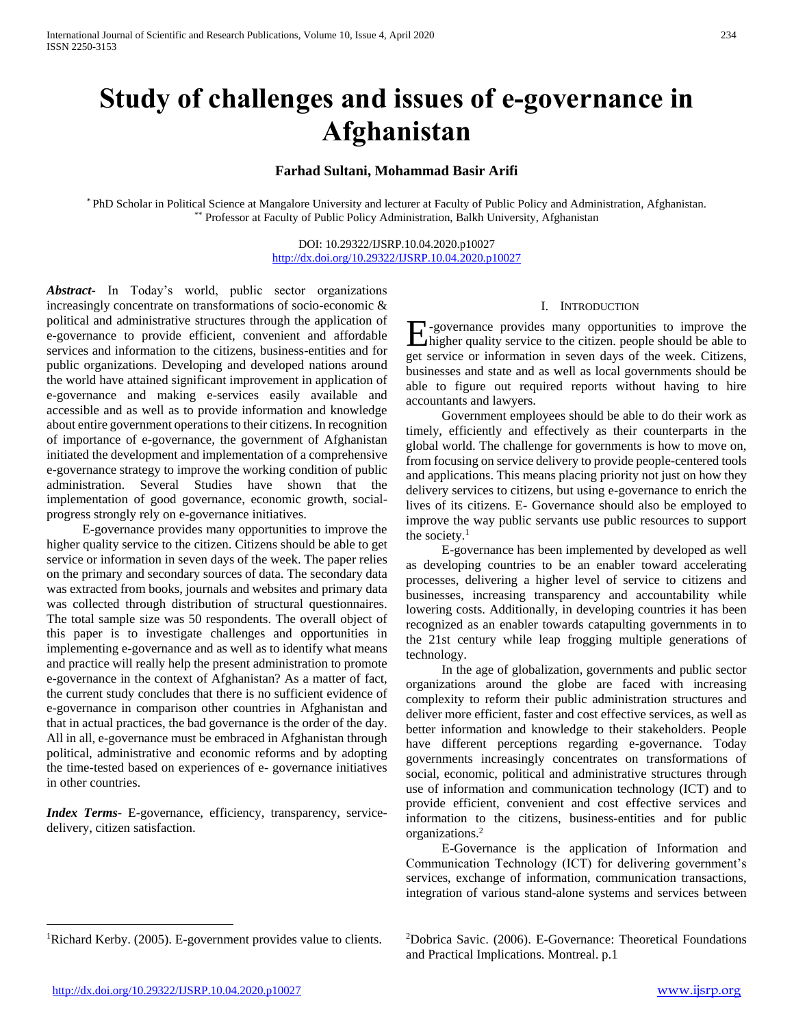# **Study of challenges and issues of e-governance in Afghanistan**

## **Farhad Sultani, Mohammad Basir Arifi**

\* PhD Scholar in Political Science at Mangalore University and lecturer at Faculty of Public Policy and Administration, Afghanistan. \*\* Professor at Faculty of Public Policy Administration, Balkh University, Afghanistan

> DOI: 10.29322/IJSRP.10.04.2020.p10027 <http://dx.doi.org/10.29322/IJSRP.10.04.2020.p10027>

*Abstract***-** In Today's world, public sector organizations increasingly concentrate on transformations of socio-economic & political and administrative structures through the application of e-governance to provide efficient, convenient and affordable services and information to the citizens, business-entities and for public organizations. Developing and developed nations around the world have attained significant improvement in application of e-governance and making e-services easily available and accessible and as well as to provide information and knowledge about entire government operations to their citizens. In recognition of importance of e-governance, the government of Afghanistan initiated the development and implementation of a comprehensive e-governance strategy to improve the working condition of public administration. Several Studies have shown that the implementation of good governance, economic growth, socialprogress strongly rely on e-governance initiatives.

 E-governance provides many opportunities to improve the higher quality service to the citizen. Citizens should be able to get service or information in seven days of the week. The paper relies on the primary and secondary sources of data. The secondary data was extracted from books, journals and websites and primary data was collected through distribution of structural questionnaires. The total sample size was 50 respondents. The overall object of this paper is to investigate challenges and opportunities in implementing e-governance and as well as to identify what means and practice will really help the present administration to promote e-governance in the context of Afghanistan? As a matter of fact, the current study concludes that there is no sufficient evidence of e-governance in comparison other countries in Afghanistan and that in actual practices, the bad governance is the order of the day. All in all, e-governance must be embraced in Afghanistan through political, administrative and economic reforms and by adopting the time-tested based on experiences of e- governance initiatives in other countries.

*Index Terms*- E-governance, efficiency, transparency, servicedelivery, citizen satisfaction.

## I. INTRODUCTION

-governance provides many opportunities to improve the higher quality service to the citizen. people should be able to **E**-governance provides many opportunities to improve the higher quality service to the citizen. people should be able to get service or information in seven days of the week. Citizens, businesses and state and as well as local governments should be able to figure out required reports without having to hire accountants and lawyers.

 Government employees should be able to do their work as timely, efficiently and effectively as their counterparts in the global world. The challenge for governments is how to move on, from focusing on service delivery to provide people-centered tools and applications. This means placing priority not just on how they delivery services to citizens, but using e-governance to enrich the lives of its citizens. E- Governance should also be employed to improve the way public servants use public resources to support the society. $<sup>1</sup>$ </sup>

 E-governance has been implemented by developed as well as developing countries to be an enabler toward accelerating processes, delivering a higher level of service to citizens and businesses, increasing transparency and accountability while lowering costs. Additionally, in developing countries it has been recognized as an enabler towards catapulting governments in to the 21st century while leap frogging multiple generations of technology.

 In the age of globalization, governments and public sector organizations around the globe are faced with increasing complexity to reform their public administration structures and deliver more efficient, faster and cost effective services, as well as better information and knowledge to their stakeholders. People have different perceptions regarding e-governance. Today governments increasingly concentrates on transformations of social, economic, political and administrative structures through use of information and communication technology (ICT) and to provide efficient, convenient and cost effective services and information to the citizens, business-entities and for public organizations.<sup>2</sup>

 E-Governance is the application of Information and Communication Technology (ICT) for delivering government's services, exchange of information, communication transactions, integration of various stand-alone systems and services between

<sup>1</sup>Richard Kerby. (2005). E-government provides value to clients.

<sup>2</sup>Dobrica Savic. (2006). E-Governance: Theoretical Foundations and Practical Implications. Montreal. p.1

 $\overline{a}$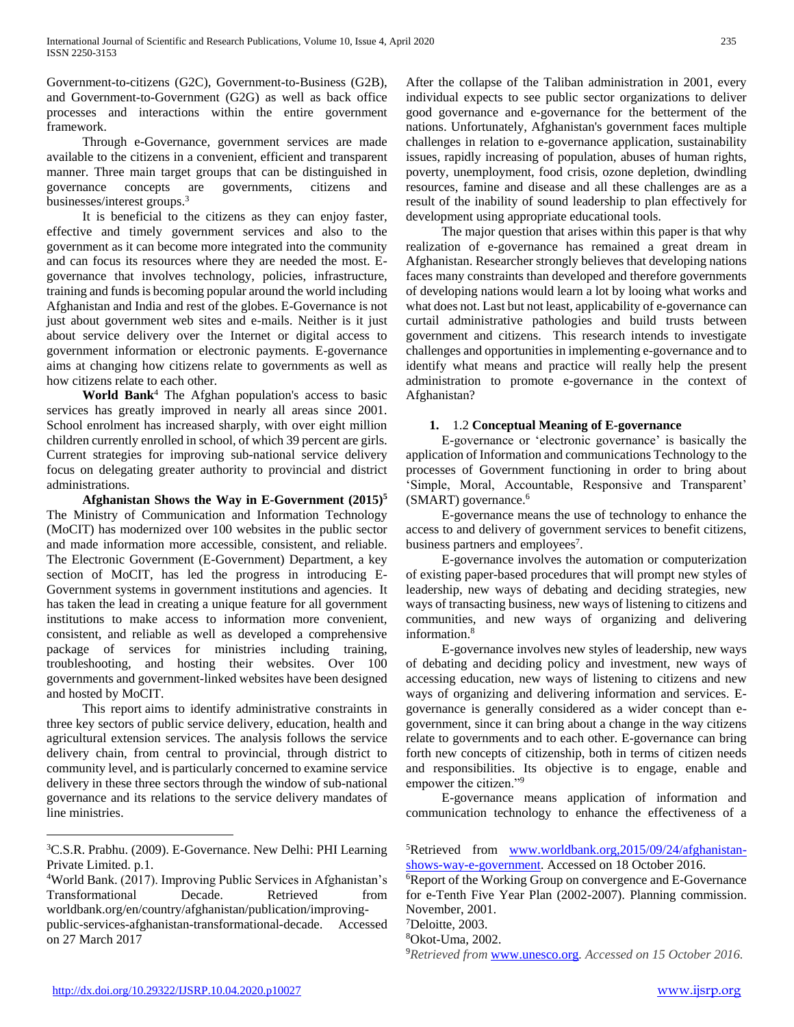Government-to-citizens (G2C), Government-to-Business (G2B), and Government-to-Government (G2G) as well as back office processes and interactions within the entire government framework.

 Through e-Governance, government services are made available to the citizens in a convenient, efficient and transparent manner. Three main target groups that can be distinguished in governance concepts are governments, citizens and businesses/interest groups.<sup>3</sup>

 It is beneficial to the citizens as they can enjoy faster, effective and timely government services and also to the government as it can become more integrated into the community and can focus its resources where they are needed the most. Egovernance that involves technology, policies, infrastructure, training and funds is becoming popular around the world including Afghanistan and India and rest of the globes. E-Governance is not just about government web sites and e-mails. Neither is it just about service delivery over the Internet or digital access to government information or electronic payments. E-governance aims at changing how citizens relate to governments as well as how citizens relate to each other.

 **World Bank**<sup>4</sup> The Afghan population's access to basic services has greatly improved in nearly all areas since 2001. School enrolment has increased sharply, with over eight million children currently enrolled in school, of which 39 percent are girls. Current strategies for improving sub-national service delivery focus on delegating greater authority to provincial and district administrations.

 **Afghanistan Shows the Way in E-Government (2015)<sup>5</sup>** The Ministry of Communication and Information Technology (MoCIT) has modernized over 100 websites in the public sector and made information more accessible, consistent, and reliable. The Electronic Government (E-Government) Department, a key section of MoCIT, has led the progress in introducing E-Government systems in government institutions and agencies. It has taken the lead in creating a unique feature for all government institutions to make access to information more convenient, consistent, and reliable as well as developed a comprehensive package of services for ministries including training, troubleshooting, and hosting their websites. Over 100 governments and government-linked websites have been designed and hosted by MoCIT.

 This report aims to identify administrative constraints in three key sectors of public service delivery, education, health and agricultural extension services. The analysis follows the service delivery chain, from central to provincial, through district to community level, and is particularly concerned to examine service delivery in these three sectors through the window of sub-national governance and its relations to the service delivery mandates of line ministries.

<sup>4</sup>World Bank. (2017). Improving Public Services in Afghanistan's Transformational Decade. Retrieved from worldbank.org/en/country/afghanistan/publication/improvingpublic-services-afghanistan-transformational-decade. Accessed on 27 March 2017

After the collapse of the Taliban administration in 2001, every individual expects to see public sector organizations to deliver good governance and e-governance for the betterment of the nations. Unfortunately, Afghanistan's government faces multiple challenges in relation to e-governance application, sustainability issues, rapidly increasing of population, abuses of human rights, poverty, unemployment, food crisis, ozone depletion, dwindling resources, famine and disease and all these challenges are as a result of the inability of sound leadership to plan effectively for development using appropriate educational tools.

 The major question that arises within this paper is that why realization of e-governance has remained a great dream in Afghanistan. Researcher strongly believes that developing nations faces many constraints than developed and therefore governments of developing nations would learn a lot by looing what works and what does not. Last but not least, applicability of e-governance can curtail administrative pathologies and build trusts between government and citizens. This research intends to investigate challenges and opportunities in implementing e-governance and to identify what means and practice will really help the present administration to promote e-governance in the context of Afghanistan?

## **1.** 1.2 **Conceptual Meaning of E-governance**

 E-governance or 'electronic governance' is basically the application of Information and communications Technology to the processes of Government functioning in order to bring about 'Simple, Moral, Accountable, Responsive and Transparent'  $(SMARK)$  governance.<sup>6</sup>

 E-governance means the use of technology to enhance the access to and delivery of government services to benefit citizens, business partners and employees<sup>7</sup>.

 E-governance involves the automation or computerization of existing paper-based procedures that will prompt new styles of leadership, new ways of debating and deciding strategies, new ways of transacting business, new ways of listening to citizens and communities, and new ways of organizing and delivering information.<sup>8</sup>

 E-governance involves new styles of leadership, new ways of debating and deciding policy and investment, new ways of accessing education, new ways of listening to citizens and new ways of organizing and delivering information and services. Egovernance is generally considered as a wider concept than egovernment, since it can bring about a change in the way citizens relate to governments and to each other. E-governance can bring forth new concepts of citizenship, both in terms of citizen needs and responsibilities. Its objective is to engage, enable and empower the citizen."<sup>9</sup>

 E-governance means application of information and communication technology to enhance the effectiveness of a

<sup>5</sup>Retrieved from www.worldbank.org, 2015/09/24/afghanistan[shows-way-e-government.](http://www.worldbank.org,2015/09/24/afghanistan-shows-way-e-government) Accessed on 18 October 2016.

<sup>6</sup>Report of the Working Group on convergence and E-Governance for e-Tenth Five Year Plan (2002-2007). Planning commission. November, 2001.

<sup>7</sup>Deloitte, 2003.

<sup>8</sup>Okot-Uma, 2002.

9*Retrieved from* [www.unesco.org](http://www.unesco.org/)*. Accessed on 15 October 2016.*

 $\overline{a}$ 

<sup>&</sup>lt;sup>3</sup>C.S.R. Prabhu. (2009). E-Governance. New Delhi: PHI Learning Private Limited. p.1.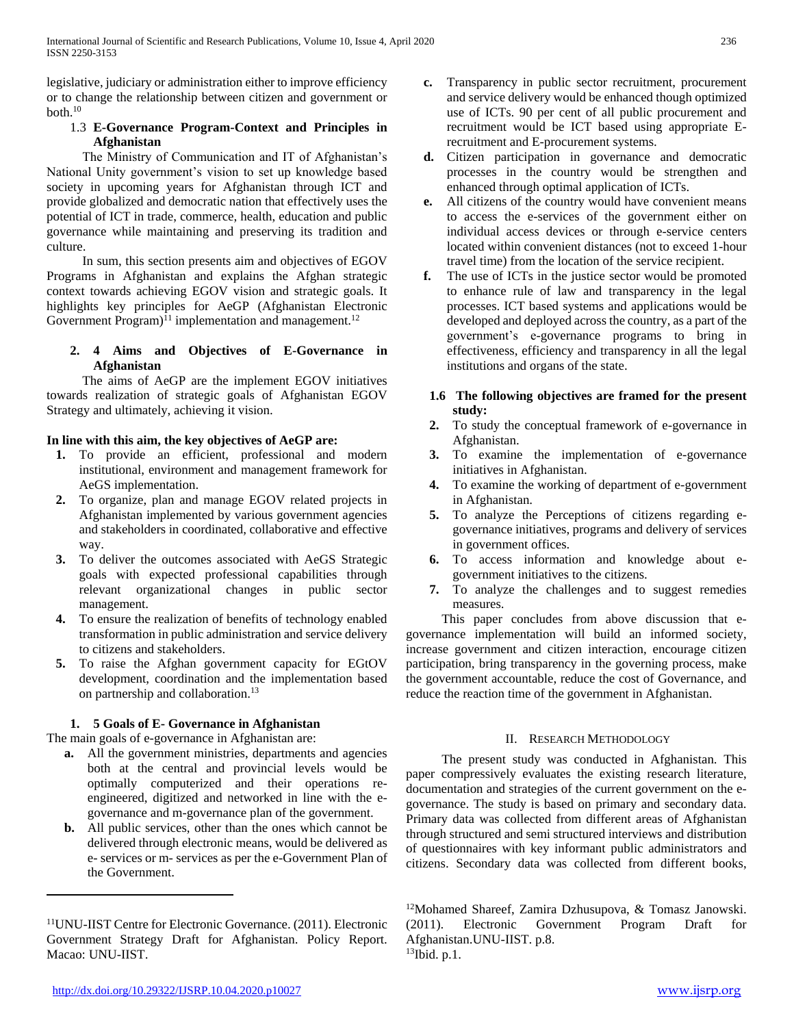legislative, judiciary or administration either to improve efficiency or to change the relationship between citizen and government or both.<sup>10</sup>

# 1.3 **E-Governance Program-Context and Principles in Afghanistan**

 The Ministry of Communication and IT of Afghanistan's National Unity government's vision to set up knowledge based society in upcoming years for Afghanistan through ICT and provide globalized and democratic nation that effectively uses the potential of ICT in trade, commerce, health, education and public governance while maintaining and preserving its tradition and culture.

 In sum, this section presents aim and objectives of EGOV Programs in Afghanistan and explains the Afghan strategic context towards achieving EGOV vision and strategic goals. It highlights key principles for AeGP (Afghanistan Electronic Government Program) $^{11}$  implementation and management.<sup>12</sup>

# **2. 4 Aims and Objectives of E-Governance in Afghanistan**

 The aims of AeGP are the implement EGOV initiatives towards realization of strategic goals of Afghanistan EGOV Strategy and ultimately, achieving it vision.

# **In line with this aim, the key objectives of AeGP are:**

- **1.** To provide an efficient, professional and modern institutional, environment and management framework for AeGS implementation.
- **2.** To organize, plan and manage EGOV related projects in Afghanistan implemented by various government agencies and stakeholders in coordinated, collaborative and effective way.
- **3.** To deliver the outcomes associated with AeGS Strategic goals with expected professional capabilities through relevant organizational changes in public sector management.
- **4.** To ensure the realization of benefits of technology enabled transformation in public administration and service delivery to citizens and stakeholders.
- **5.** To raise the Afghan government capacity for EGtOV development, coordination and the implementation based on partnership and collaboration.<sup>13</sup>

# **1. 5 Goals of E- Governance in Afghanistan**

The main goals of e-governance in Afghanistan are:

- **a.** All the government ministries, departments and agencies both at the central and provincial levels would be optimally computerized and their operations reengineered, digitized and networked in line with the egovernance and m-governance plan of the government.
- **b.** All public services, other than the ones which cannot be delivered through electronic means, would be delivered as e- services or m- services as per the e-Government Plan of the Government.
- **c.** Transparency in public sector recruitment, procurement and service delivery would be enhanced though optimized use of ICTs. 90 per cent of all public procurement and recruitment would be ICT based using appropriate Erecruitment and E-procurement systems.
- **d.** Citizen participation in governance and democratic processes in the country would be strengthen and enhanced through optimal application of ICTs.
- **e.** All citizens of the country would have convenient means to access the e-services of the government either on individual access devices or through e-service centers located within convenient distances (not to exceed 1-hour travel time) from the location of the service recipient.
- **f.** The use of ICTs in the justice sector would be promoted to enhance rule of law and transparency in the legal processes. ICT based systems and applications would be developed and deployed across the country, as a part of the government's e-governance programs to bring in effectiveness, efficiency and transparency in all the legal institutions and organs of the state.

## **1.6 The following objectives are framed for the present study:**

- **2.** To study the conceptual framework of e-governance in Afghanistan.
- **3.** To examine the implementation of e-governance initiatives in Afghanistan.
- **4.** To examine the working of department of e-government in Afghanistan.
- **5.** To analyze the Perceptions of citizens regarding egovernance initiatives, programs and delivery of services in government offices.
- **6.** To access information and knowledge about egovernment initiatives to the citizens.
- **7.** To analyze the challenges and to suggest remedies measures.

 This paper concludes from above discussion that egovernance implementation will build an informed society, increase government and citizen interaction, encourage citizen participation, bring transparency in the governing process, make the government accountable, reduce the cost of Governance, and reduce the reaction time of the government in Afghanistan.

# II. RESEARCH METHODOLOGY

 The present study was conducted in Afghanistan. This paper compressively evaluates the existing research literature, documentation and strategies of the current government on the egovernance. The study is based on primary and secondary data. Primary data was collected from different areas of Afghanistan through structured and semi structured interviews and distribution of questionnaires with key informant public administrators and citizens. Secondary data was collected from different books,

<sup>12</sup>Mohamed Shareef, Zamira Dzhusupova, & Tomasz Janowski. (2011). Electronic Government Program Draft for Afghanistan.UNU-IIST. p.8.  $13$ Ibid. p.1.

 $\overline{a}$ 

<sup>11</sup>UNU-IIST Centre for Electronic Governance. (2011). Electronic Government Strategy Draft for Afghanistan. Policy Report. Macao: UNU-IIST.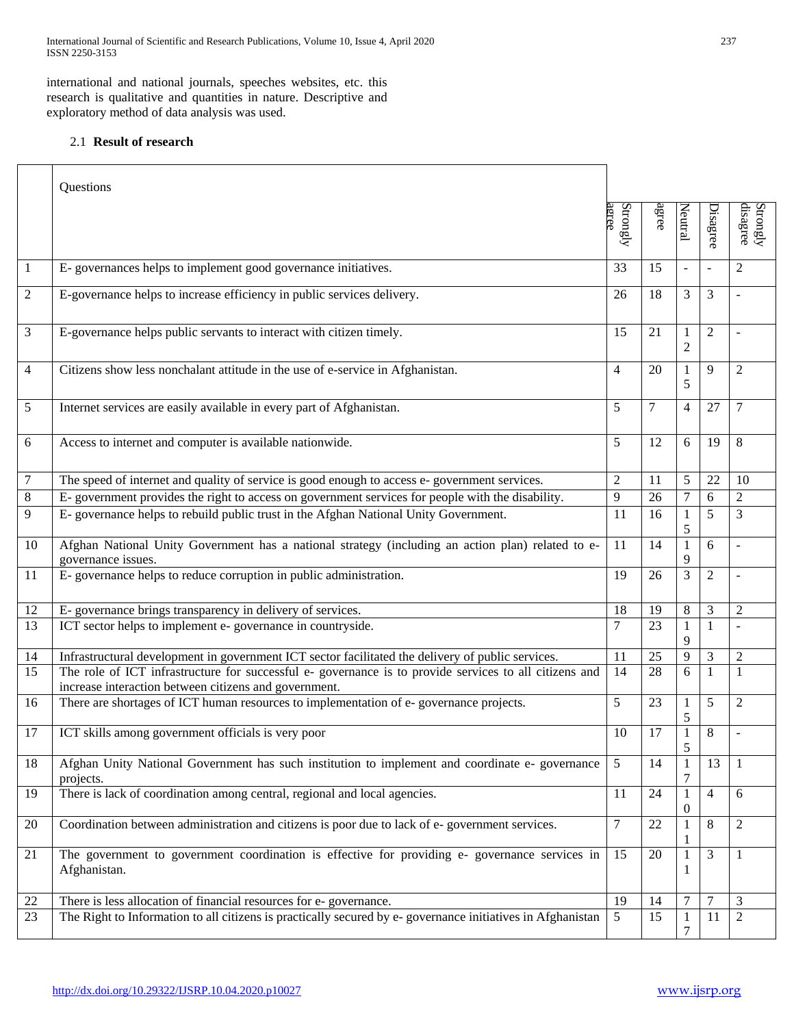International Journal of Scientific and Research Publications, Volume 10, Issue 4, April 2020 237 ISSN 2250-3153

international and national journals, speeches websites, etc. this research is qualitative and quantities in nature. Descriptive and exploratory method of data analysis was used.

# 2.1 **Result of research**

| Questions                                                                                                               |                                                                                                                                                                                                                                                                                                   |          |                     |                     |                      |
|-------------------------------------------------------------------------------------------------------------------------|---------------------------------------------------------------------------------------------------------------------------------------------------------------------------------------------------------------------------------------------------------------------------------------------------|----------|---------------------|---------------------|----------------------|
|                                                                                                                         | agree                                                                                                                                                                                                                                                                                             |          |                     |                     | disagree<br>Strongly |
| E-governances helps to implement good governance initiatives.                                                           | 33                                                                                                                                                                                                                                                                                                | 15       |                     | $\bar{\phantom{a}}$ | $\overline{2}$       |
| E-governance helps to increase efficiency in public services delivery.                                                  | 26                                                                                                                                                                                                                                                                                                | 18       | 3                   | 3                   |                      |
| E-governance helps public servants to interact with citizen timely.                                                     | 15                                                                                                                                                                                                                                                                                                | 21       | 1<br>$\overline{c}$ | $\mathfrak{2}$      |                      |
| Citizens show less nonchalant attitude in the use of e-service in Afghanistan.                                          | 4                                                                                                                                                                                                                                                                                                 | 20       | 1<br>5              | 9                   | $\overline{2}$       |
| Internet services are easily available in every part of Afghanistan.                                                    | 5                                                                                                                                                                                                                                                                                                 | 7        | 4                   | 27                  | $\tau$               |
| Access to internet and computer is available nationwide.                                                                | 5                                                                                                                                                                                                                                                                                                 | 12       | 6                   | 19                  | 8                    |
| The speed of internet and quality of service is good enough to access e- government services.                           | $\overline{c}$                                                                                                                                                                                                                                                                                    | 11       | 5                   | 22                  | 10                   |
|                                                                                                                         | 9                                                                                                                                                                                                                                                                                                 | 26       | 7                   | 6                   | $\overline{2}$       |
|                                                                                                                         | 11                                                                                                                                                                                                                                                                                                | 16       | $\mathbf{1}$<br>5   | 5                   | 3                    |
| Afghan National Unity Government has a national strategy (including an action plan) related to e-<br>governance issues. | 11                                                                                                                                                                                                                                                                                                | 14       | $\mathbf{1}$<br>9   | 6                   | $\overline{a}$       |
| E-governance helps to reduce corruption in public administration.                                                       | 19                                                                                                                                                                                                                                                                                                | 26       | 3                   | $\mathfrak{2}$      | $\overline{a}$       |
| E-governance brings transparency in delivery of services.                                                               | 18                                                                                                                                                                                                                                                                                                | 19       | $\,8\,$             | 3                   | $\overline{2}$       |
| ICT sector helps to implement e- governance in countryside.                                                             | 7                                                                                                                                                                                                                                                                                                 | 23       | 1<br>9              | $\mathbf{1}$        |                      |
| Infrastructural development in government ICT sector facilitated the delivery of public services.                       | 11                                                                                                                                                                                                                                                                                                | 25       | 9                   | $\mathfrak{Z}$      | $\overline{2}$       |
| increase interaction between citizens and government.                                                                   | 14                                                                                                                                                                                                                                                                                                | 28       | 6                   | $\mathbf{1}$        | 1                    |
| There are shortages of ICT human resources to implementation of e-governance projects.                                  | 5                                                                                                                                                                                                                                                                                                 | 23       | 1<br>5              | 5                   | $\overline{2}$       |
| ICT skills among government officials is very poor                                                                      | 10                                                                                                                                                                                                                                                                                                | 17       | $\mathbf{1}$<br>5   | 8                   |                      |
| Afghan Unity National Government has such institution to implement and coordinate e- governance<br>projects.            | 5                                                                                                                                                                                                                                                                                                 | 14       | 1<br>7              | 13                  | 1                    |
| There is lack of coordination among central, regional and local agencies.                                               | 11                                                                                                                                                                                                                                                                                                | 24       | $\mathbf{1}$<br>0   | $\overline{4}$      | 6                    |
| Coordination between administration and citizens is poor due to lack of e-government services.                          | 7                                                                                                                                                                                                                                                                                                 | 22       | 1<br>1              | $\,8\,$             | $\mathfrak{2}$       |
| The government to government coordination is effective for providing e- governance services in<br>Afghanistan.          | 15                                                                                                                                                                                                                                                                                                | 20       | $\mathbf{1}$<br>1   | $\mathfrak 3$       | $\mathbf{1}$         |
| There is less allocation of financial resources for e-governance.                                                       | 19                                                                                                                                                                                                                                                                                                | 14       | 7                   | $\overline{7}$      | 3                    |
| The Right to Information to all citizens is practically secured by e-governance initiatives in Afghanistan              | 5                                                                                                                                                                                                                                                                                                 | 15       | 1<br>7              | 11                  | $\overline{2}$       |
|                                                                                                                         | E-government provides the right to access on government services for people with the disability.<br>E-governance helps to rebuild public trust in the Afghan National Unity Government.<br>The role of ICT infrastructure for successful e- governance is to provide services to all citizens and | Strongly | agree               | Neutral             | Disagree             |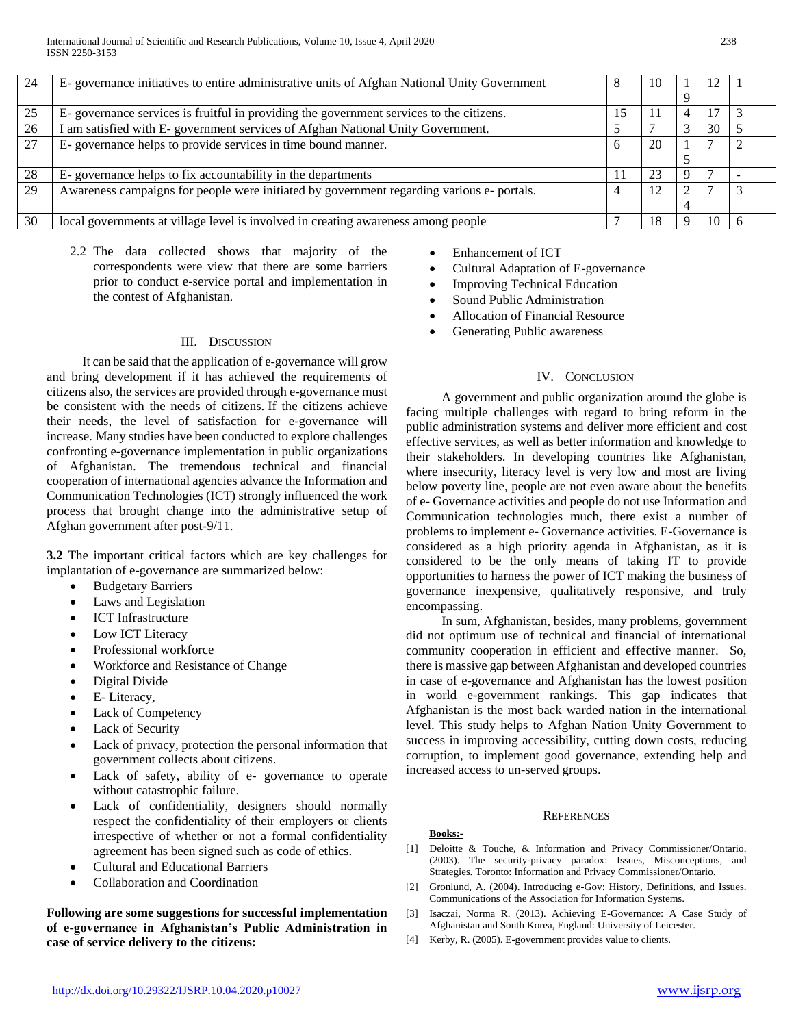| 24 | E-governance initiatives to entire administrative units of Afghan National Unity Government |    | 10      |   | 12 |  |
|----|---------------------------------------------------------------------------------------------|----|---------|---|----|--|
|    |                                                                                             |    |         |   |    |  |
| 25 | E-governance services is fruitful in providing the government services to the citizens.     | 15 | $\perp$ | 4 | 17 |  |
| 26 | I am satisfied with E- government services of Afghan National Unity Government.             |    |         | 3 | 30 |  |
| 27 | E-governance helps to provide services in time bound manner.                                |    | 20      |   |    |  |
|    |                                                                                             |    |         |   |    |  |
| 28 | E-governance helps to fix accountability in the departments                                 |    | 23      |   |    |  |
| 29 | Awareness campaigns for people were initiated by government regarding various e- portals.   |    | 12      |   |    |  |
|    |                                                                                             |    |         | 4 |    |  |
| 30 | local governments at village level is involved in creating awareness among people           |    | 18      |   | 10 |  |

2.2 The data collected shows that majority of the correspondents were view that there are some barriers prior to conduct e-service portal and implementation in the contest of Afghanistan.

### III. DISCUSSION

 It can be said that the application of e-governance will grow and bring development if it has achieved the requirements of citizens also, the services are provided through e-governance must be consistent with the needs of citizens. If the citizens achieve their needs, the level of satisfaction for e-governance will increase. Many studies have been conducted to explore challenges confronting e-governance implementation in public organizations of Afghanistan. The tremendous technical and financial cooperation of international agencies advance the Information and Communication Technologies (ICT) strongly influenced the work process that brought change into the administrative setup of Afghan government after post-9/11.

**3.2** The important critical factors which are key challenges for implantation of e-governance are summarized below:

- Budgetary Barriers
- Laws and Legislation
- ICT Infrastructure
- Low ICT Literacy
- Professional workforce
- Workforce and Resistance of Change
- Digital Divide
- E- Literacy,
- Lack of Competency
- Lack of Security
- Lack of privacy, protection the personal information that government collects about citizens.
- Lack of safety, ability of e- governance to operate without catastrophic failure.
- Lack of confidentiality, designers should normally respect the confidentiality of their employers or clients irrespective of whether or not a formal confidentiality agreement has been signed such as code of ethics.
- Cultural and Educational Barriers
- Collaboration and Coordination

**Following are some suggestions for successful implementation of e-governance in Afghanistan's Public Administration in case of service delivery to the citizens:**

- Enhancement of ICT
- Cultural Adaptation of E-governance
- Improving Technical Education
- Sound Public Administration
- Allocation of Financial Resource
- Generating Public awareness

## IV. CONCLUSION

 A government and public organization around the globe is facing multiple challenges with regard to bring reform in the public administration systems and deliver more efficient and cost effective services, as well as better information and knowledge to their stakeholders. In developing countries like Afghanistan, where insecurity, literacy level is very low and most are living below poverty line, people are not even aware about the benefits of e- Governance activities and people do not use Information and Communication technologies much, there exist a number of problems to implement e- Governance activities. E-Governance is considered as a high priority agenda in Afghanistan, as it is considered to be the only means of taking IT to provide opportunities to harness the power of ICT making the business of governance inexpensive, qualitatively responsive, and truly encompassing.

 In sum, Afghanistan, besides, many problems, government did not optimum use of technical and financial of international community cooperation in efficient and effective manner. So, there is massive gap between Afghanistan and developed countries in case of e-governance and Afghanistan has the lowest position in world e-government rankings. This gap indicates that Afghanistan is the most back warded nation in the international level. This study helps to Afghan Nation Unity Government to success in improving accessibility, cutting down costs, reducing corruption, to implement good governance, extending help and increased access to un-served groups.

#### **REFERENCES**

#### **Books:-**

- [1] Deloitte & Touche, & Information and Privacy Commissioner/Ontario. (2003). The security-privacy paradox: Issues, Misconceptions, and Strategies*.* Toronto: Information and Privacy Commissioner/Ontario.
- [2] Gronlund, A. (2004). Introducing e-Gov: History, Definitions, and Issues. Communications of the Association for Information Systems.
- [3] Isaczai, Norma R. (2013). Achieving E-Governance: A Case Study of Afghanistan and South Korea, England: University of Leicester.
- [4] Kerby, R. (2005). E-government provides value to clients.